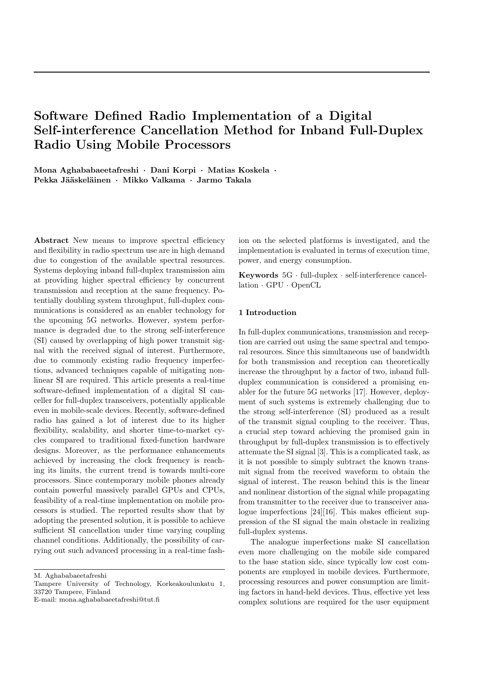# Software Defined Radio Implementation of a Digital Self-interference Cancellation Method for Inband Full-Duplex Radio Using Mobile Processors

Mona Aghababaeetafreshi · Dani Korpi · Matias Koskela · Pekka Jääskeläinen · Mikko Valkama · Jarmo Takala

Abstract New means to improve spectral efficiency and flexibility in radio spectrum use are in high demand due to congestion of the available spectral resources. Systems deploying inband full-duplex transmission aim at providing higher spectral efficiency by concurrent transmission and reception at the same frequency. Potentially doubling system throughput, full-duplex communications is considered as an enabler technology for the upcoming 5G networks. However, system performance is degraded due to the strong self-interference (SI) caused by overlapping of high power transmit signal with the received signal of interest. Furthermore, due to commonly existing radio frequency imperfections, advanced techniques capable of mitigating nonlinear SI are required. This article presents a real-time software-defined implementation of a digital SI canceller for full-duplex transceivers, potentially applicable even in mobile-scale devices. Recently, software-defined radio has gained a lot of interest due to its higher flexibility, scalability, and shorter time-to-market cycles compared to traditional fixed-function hardware designs. Moreover, as the performance enhancements achieved by increasing the clock frequency is reaching its limits, the current trend is towards multi-core processors. Since contemporary mobile phones already contain powerful massively parallel GPUs and CPUs, feasibility of a real-time implementation on mobile processors is studied. The reported results show that by adopting the presented solution, it is possible to achieve sufficient SI cancellation under time varying coupling channel conditions. Additionally, the possibility of carrying out such advanced processing in a real-time fash-

M. Aghababaeetafreshi

ion on the selected platforms is investigated, and the implementation is evaluated in terms of execution time, power, and energy consumption.

Keywords 5G · full-duplex · self-interference cancellation · GPU · OpenCL

## 1 Introduction

In full-duplex communications, transmission and reception are carried out using the same spectral and temporal resources. Since this simultaneous use of bandwidth for both transmission and reception can theoretically increase the throughput by a factor of two, inband fullduplex communication is considered a promising enabler for the future 5G networks [17]. However, deployment of such systems is extremely challenging due to the strong self-interference (SI) produced as a result of the transmit signal coupling to the receiver. Thus, a crucial step toward achieving the promised gain in throughput by full-duplex transmission is to effectively attenuate the SI signal [3]. This is a complicated task, as it is not possible to simply subtract the known transmit signal from the received waveform to obtain the signal of interest. The reason behind this is the linear and nonlinear distortion of the signal while propagating from transmitter to the receiver due to transceiver analogue imperfections [24][16]. This makes efficient suppression of the SI signal the main obstacle in realizing full-duplex systems.

The analogue imperfections make SI cancellation even more challenging on the mobile side compared to the base station side, since typically low cost components are employed in mobile devices. Furthermore, processing resources and power consumption are limiting factors in hand-held devices. Thus, effective yet less complex solutions are required for the user equipment

Tampere University of Technology, Korkeakoulunkatu 1, 33720 Tampere, Finland

E-mail: mona.aghababaeetafreshi@tut.fi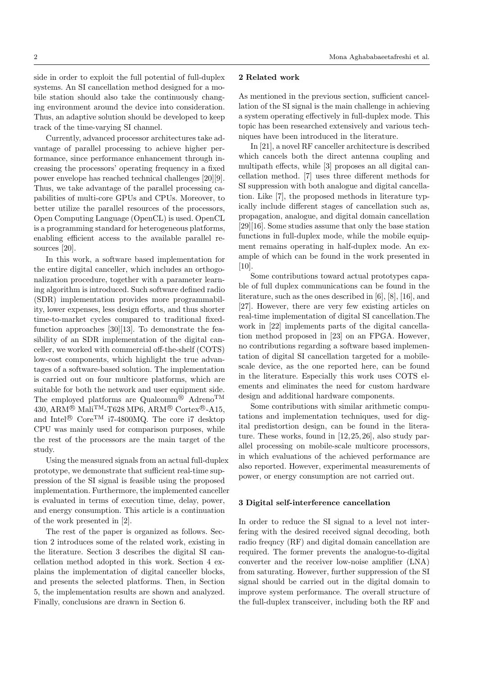side in order to exploit the full potential of full-duplex systems. An SI cancellation method designed for a mobile station should also take the continuously changing environment around the device into consideration. Thus, an adaptive solution should be developed to keep track of the time-varying SI channel.

Currently, advanced processor architectures take advantage of parallel processing to achieve higher performance, since performance enhancement through increasing the processors' operating frequency in a fixed power envelope has reached technical challenges [20][9]. Thus, we take advantage of the parallel processing capabilities of multi-core GPUs and CPUs. Moreover, to better utilize the parallel resources of the processors, Open Computing Language (OpenCL) is used. OpenCL is a programming standard for heterogeneous platforms, enabling efficient access to the available parallel resources [20].

In this work, a software based implementation for the entire digital canceller, which includes an orthogonalization procedure, together with a parameter learning algorithm is introduced. Such software defined radio (SDR) implementation provides more programmability, lower expenses, less design efforts, and thus shorter time-to-market cycles compared to traditional fixedfunction approaches [30][13]. To demonstrate the feasibility of an SDR implementation of the digital canceller, we worked with commercial off-the-shelf (COTS) low-cost components, which highlight the true advantages of a software-based solution. The implementation is carried out on four multicore platforms, which are suitable for both the network and user equipment side. The employed platforms are Qualcomm<sup>®</sup> Adreno<sup>TM</sup>  $430, \text{ARM}{}^{\textcircled{\tiny{\textbf{R}}}}$  Mali<sup>TM</sup>-T628 MP6, ARM<sup>®</sup> Cortex®-A15, and Intel<sup>®</sup> Core<sup>TM</sup> i7-4800MQ. The core i7 desktop CPU was mainly used for comparison purposes, while the rest of the processors are the main target of the study.

Using the measured signals from an actual full-duplex prototype, we demonstrate that sufficient real-time suppression of the SI signal is feasible using the proposed implementation. Furthermore, the implemented canceller is evaluated in terms of execution time, delay, power, and energy consumption. This article is a continuation of the work presented in [2].

The rest of the paper is organized as follows. Section 2 introduces some of the related work, existing in the literature. Section 3 describes the digital SI cancellation method adopted in this work. Section 4 explains the implementation of digital canceller blocks, and presents the selected platforms. Then, in Section 5, the implementation results are shown and analyzed. Finally, conclusions are drawn in Section 6.

## 2 Related work

As mentioned in the previous section, sufficient cancellation of the SI signal is the main challenge in achieving a system operating effectively in full-duplex mode. This topic has been researched extensively and various techniques have been introduced in the literature.

In [21], a novel RF canceller architecture is described which cancels both the direct antenna coupling and multipath effects, while [3] proposes an all digital cancellation method. [7] uses three different methods for SI suppression with both analogue and digital cancellation. Like [7], the proposed methods in literature typically include different stages of cancellation such as, propagation, analogue, and digital domain cancellation [29][16]. Some studies assume that only the base station functions in full-duplex mode, while the mobile equipment remains operating in half-duplex mode. An example of which can be found in the work presented in [10].

Some contributions toward actual prototypes capable of full duplex communications can be found in the literature, such as the ones described in [6], [8], [16], and [27]. However, there are very few existing articles on real-time implementation of digital SI cancellation.The work in [22] implements parts of the digital cancellation method proposed in [23] on an FPGA. However, no contributions regarding a software based implementation of digital SI cancellation targeted for a mobilescale device, as the one reported here, can be found in the literature. Especially this work uses COTS elements and eliminates the need for custom hardware design and additional hardware components.

Some contributions with similar arithmetic computations and implementation techniques, used for digital predistortion design, can be found in the literature. These works, found in [12, 25, 26], also study parallel processing on mobile-scale multicore processors, in which evaluations of the achieved performance are also reported. However, experimental measurements of power, or energy consumption are not carried out.

#### 3 Digital self-interference cancellation

In order to reduce the SI signal to a level not interfering with the desired received signal decoding, both radio freqncy (RF) and digital domain cancellation are required. The former prevents the analogue-to-digital converter and the receiver low-noise amplifier (LNA) from saturating. However, further suppression of the SI signal should be carried out in the digital domain to improve system performance. The overall structure of the full-duplex transceiver, including both the RF and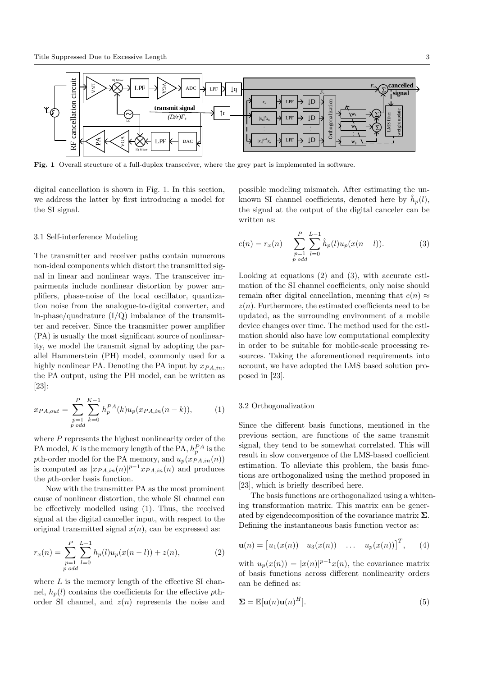

Fig. 1 Overall structure of a full-duplex transceiver, where the grey part is implemented in software.

digital cancellation is shown in Fig. 1. In this section, we address the latter by first introducing a model for the SI signal.

#### 3.1 Self-interference Modeling

The transmitter and receiver paths contain numerous non-ideal components which distort the transmitted signal in linear and nonlinear ways. The transceiver impairments include nonlinear distortion by power amplifiers, phase-noise of the local oscillator, quantization noise from the analogue-to-digital converter, and in-phase/quadrature  $(I/Q)$  imbalance of the transmitter and receiver. Since the transmitter power amplifier (PA) is usually the most significant source of nonlinearity, we model the transmit signal by adopting the parallel Hammerstein (PH) model, commonly used for a highly nonlinear PA. Denoting the PA input by  $x_{PA,in}$ , the PA output, using the PH model, can be written as [23]:

$$
x_{PA,out} = \sum_{\substack{p=1 \ p \text{ odd}}}^{P} \sum_{k=0}^{K-1} h_p^{PA}(k) u_p(x_{PA,in}(n-k)), \tag{1}
$$

where  $P$  represents the highest nonlinearity order of the PA model, K is the memory length of the PA,  $h_p^{PA}$  is the pth-order model for the PA memory, and  $u_p(\boldsymbol{x}_{PA,in}(n))$ is computed as  $|x_{PA,in}(n)|^{p-1}x_{PA,in}(n)$  and produces the pth-order basis function.

Now with the transmitter PA as the most prominent cause of nonlinear distortion, the whole SI channel can be effectively modelled using (1). Thus, the received signal at the digital canceller input, with respect to the original transmitted signal  $x(n)$ , can be expressed as:

$$
r_x(n) = \sum_{\substack{p=1 \ p \text{ odd}}}^{P} \sum_{l=0}^{L-1} h_p(l) u_p(x(n-l)) + z(n), \tag{2}
$$

where  $L$  is the memory length of the effective SI channel,  $h_p(l)$  contains the coefficients for the effective pthorder SI channel, and  $z(n)$  represents the noise and possible modeling mismatch. After estimating the unknown SI channel coefficients, denoted here by  $\hat{h}_p(l)$ , the signal at the output of the digital canceler can be written as:

$$
e(n) = r_x(n) - \sum_{\substack{p=1 \ p \text{ odd}}}^{P} \sum_{l=0}^{L-1} \hat{h}_p(l) u_p(x(n-l)).
$$
 (3)

Looking at equations (2) and (3), with accurate estimation of the SI channel coefficients, only noise should remain after digital cancellation, meaning that  $e(n) \approx$  $z(n)$ . Furthermore, the estimated coefficients need to be updated, as the surrounding environment of a mobile device changes over time. The method used for the estimation should also have low computational complexity in order to be suitable for mobile-scale processing resources. Taking the aforementioned requirements into account, we have adopted the LMS based solution proposed in [23].

### 3.2 Orthogonalization

Since the different basis functions, mentioned in the previous section, are functions of the same transmit signal, they tend to be somewhat correlated. This will result in slow convergence of the LMS-based coefficient estimation. To alleviate this problem, the basis functions are orthogonalized using the method proposed in [23], which is briefly described here.

The basis functions are orthogonalized using a whitening transformation matrix. This matrix can be generated by eigendecomposition of the covariance matrix  $\Sigma$ . Defining the instantaneous basis function vector as:

$$
\mathbf{u}(n) = [u_1(x(n)) \quad u_3(x(n)) \quad \dots \quad u_p(x(n))]^T, \qquad (4)
$$

with  $u_p(x(n)) = |x(n)|^{p-1}x(n)$ , the covariance matrix of basis functions across different nonlinearity orders can be defined as:

$$
\Sigma = \mathbb{E}[\mathbf{u}(n)\mathbf{u}(n)^H].
$$
\n(5)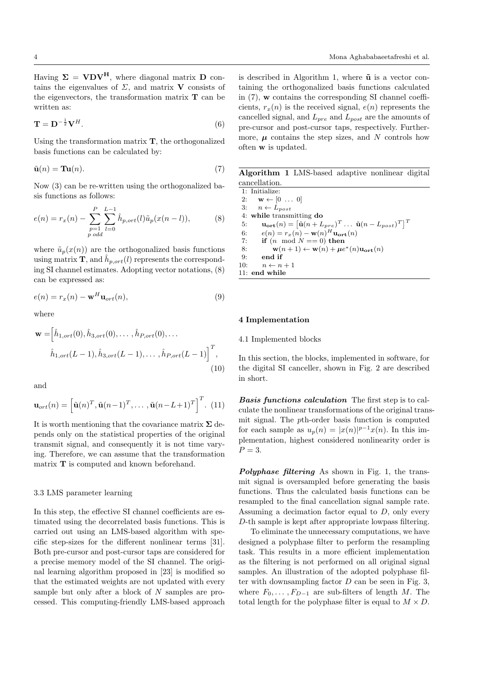Having  $\Sigma = VDV^H$ , where diagonal matrix D contains the eigenvalues of  $\Sigma$ , and matrix **V** consists of the eigenvectors, the transformation matrix  $T$  can be written as:

$$
\mathbf{T} = \mathbf{D}^{-\frac{1}{2}} \mathbf{V}^H. \tag{6}
$$

Using the transformation matrix  $\mathbf{T}$ , the orthogonalized basis functions can be calculated by:

$$
\tilde{\mathbf{u}}(n) = \mathbf{T} \mathbf{u}(n). \tag{7}
$$

Now (3) can be re-written using the orthogonalized basis functions as follows:

$$
e(n) = r_x(n) - \sum_{\substack{p=1\\p \text{ odd}}}^{P} \sum_{l=0}^{L-1} \hat{h}_{p,ort}(l)\tilde{u}_p(x(n-l)),
$$
 (8)

where  $\tilde{u}_p(x(n))$  are the orthogonalized basis functions using matrix **T**, and  $\hat{h}_{p,ort}(l)$  represents the corresponding SI channel estimates. Adopting vector notations, (8) can be expressed as:

$$
e(n) = r_x(n) - \mathbf{w}^H \mathbf{u}_{ort}(n),
$$
\n(9)

where

$$
\mathbf{w} = \left[\hat{h}_{1,ort}(0), \hat{h}_{3,ort}(0), \dots, \hat{h}_{P,ort}(0), \dots\right]
$$

$$
\hat{h}_{1,ort}(L-1), \hat{h}_{3,ort}(L-1), \dots, \hat{h}_{P,ort}(L-1)\right]^{T},
$$

$$
(10)
$$

and

$$
\mathbf{u}_{ort}(n) = \left[\tilde{\mathbf{u}}(n)^T, \tilde{\mathbf{u}}(n-1)^T, \dots, \tilde{\mathbf{u}}(n-L+1)^T\right]^T.
$$
 (11)

It is worth mentioning that the covariance matrix  $\Sigma$  depends only on the statistical properties of the original transmit signal, and consequently it is not time varying. Therefore, we can assume that the transformation matrix T is computed and known beforehand.

#### 3.3 LMS parameter learning

In this step, the effective SI channel coefficients are estimated using the decorrelated basis functions. This is carried out using an LMS-based algorithm with specific step-sizes for the different nonlinear terms [31]. Both pre-cursor and post-cursor taps are considered for a precise memory model of the SI channel. The original learning algorithm proposed in [23] is modified so that the estimated weights are not updated with every sample but only after a block of N samples are processed. This computing-friendly LMS-based approach

is described in Algorithm 1, where  $\tilde{u}$  is a vector containing the orthogonalized basis functions calculated in (7), w contains the corresponding SI channel coefficients,  $r_x(n)$  is the received signal,  $e(n)$  represents the cancelled signal, and  $L_{pre}$  and  $L_{post}$  are the amounts of pre-cursor and post-cursor taps, respectively. Furthermore,  $\mu$  contains the step sizes, and N controls how often w is updated.

Algorithm 1 LMS-based adaptive nonlinear digital cancellation.

1: Initialize: 2:  $\mathbf{w} \leftarrow [0 \dots 0]$ 3:  $n \leftarrow \dot{L}_{post}$ 4: while transmitting do 5:  $\mathbf{u_{ort}}(n) = \left[\tilde{\mathbf{u}}(n + L_{pre})^T \dots \tilde{\mathbf{u}}(n - L_{post})^T\right]^T$ 6:  $e(n) = r_x(n) - \mathbf{w}(n)^H \mathbf{u_{ort}}(n)$ <br>7: if  $(n \mod N) = 0$  then if  $(n \mod N == 0)$  then 8:  $\mathbf{w}(n+1) \leftarrow \mathbf{w}(n) + \mu e^*(n) \mathbf{u_{\text{ort}}}(n)$ 9: end if 10:  $n \leftarrow n + 1$ 11: end while

#### 4 Implementation

#### 4.1 Implemented blocks

In this section, the blocks, implemented in software, for the digital SI canceller, shown in Fig. 2 are described in short.

Basis functions calculation The first step is to calculate the nonlinear transformations of the original transmit signal. The pth-order basis function is computed for each sample as  $u_p(n) = |x(n)|^{p-1}x(n)$ . In this implementation, highest considered nonlinearity order is  $P=3$ .

Polyphase filtering As shown in Fig. 1, the transmit signal is oversampled before generating the basis functions. Thus the calculated basis functions can be resampled to the final cancellation signal sample rate. Assuming a decimation factor equal to  $D$ , only every D-th sample is kept after appropriate lowpass filtering.

To eliminate the unnecessary computations, we have designed a polyphase filter to perform the resampling task. This results in a more efficient implementation as the filtering is not performed on all original signal samples. An illustration of the adopted polyphase filter with downsampling factor  $D$  can be seen in Fig. 3, where  $F_0, \ldots, F_{D-1}$  are sub-filters of length M. The total length for the polyphase filter is equal to  $M \times D$ .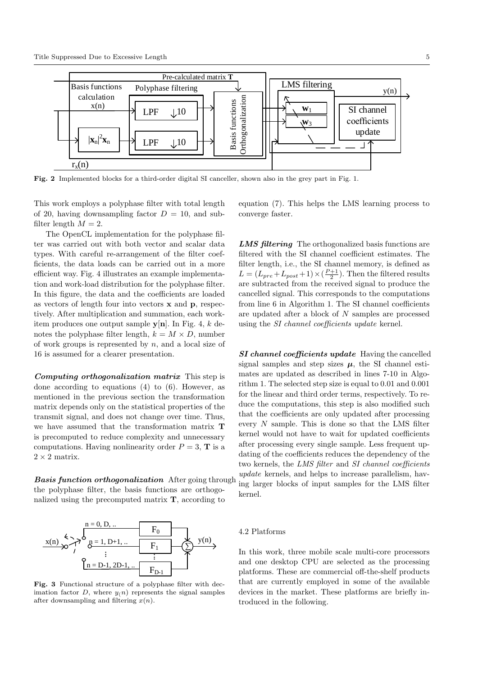

Fig. 2 Implemented blocks for a third-order digital SI canceller, shown also in the grey part in Fig. 1.

This work employs a polyphase filter with total length of 20, having downsampling factor  $D = 10$ , and subfilter length  $M = 2$ .

The OpenCL implementation for the polyphase filter was carried out with both vector and scalar data types. With careful re-arrangement of the filter coefficients, the data loads can be carried out in a more efficient way. Fig. 4 illustrates an example implementation and work-load distribution for the polyphase filter. In this figure, the data and the coefficients are loaded as vectors of length four into vectors x and p, respectively. After multiplication and summation, each workitem produces one output sample  $y[n]$ . In Fig. 4, k denotes the polyphase filter length,  $k = M \times D$ , number of work groups is represented by  $n$ , and a local size of 16 is assumed for a clearer presentation.

Computing orthogonalization matrix This step is done according to equations (4) to (6). However, as mentioned in the previous section the transformation matrix depends only on the statistical properties of the transmit signal, and does not change over time. Thus, we have assumed that the transformation matrix T is precomputed to reduce complexity and unnecessary computations. Having nonlinearity order  $P = 3$ , **T** is a  $2 \times 2$  matrix.

**Basis function orthogonalization** After going through the polyphase filter, the basis functions are orthogonalized using the precomputed matrix T, according to



Fig. 3 Functional structure of a polyphase filter with decimation factor D, where  $y(n)$  represents the signal samples after downsampling and filtering  $x(n)$ .

equation (7). This helps the LMS learning process to converge faster.

LMS filtering The orthogonalized basis functions are filtered with the SI channel coefficient estimates. The filter length, i.e., the SI channel memory, is defined as  $L = (L_{pre} + L_{post} + 1) \times (\frac{P+1}{2})$ . Then the filtered results are subtracted from the received signal to produce the cancelled signal. This corresponds to the computations from line 6 in Algorithm 1. The SI channel coefficients are updated after a block of N samples are processed using the *SI channel coefficients update* kernel.

SI channel coefficients update Having the cancelled signal samples and step sizes  $\mu$ , the SI channel estimates are updated as described in lines 7-10 in Algorithm 1. The selected step size is equal to 0.01 and 0.001 for the linear and third order terms, respectively. To reduce the computations, this step is also modified such that the coefficients are only updated after processing every  $N$  sample. This is done so that the LMS filter kernel would not have to wait for updated coefficients after processing every single sample. Less frequent updating of the coefficients reduces the dependency of the two kernels, the LMS filter and SI channel coefficients update kernels, and helps to increase parallelism, having larger blocks of input samples for the LMS filter kernel.

#### 4.2 Platforms

In this work, three mobile scale multi-core processors and one desktop CPU are selected as the processing platforms. These are commercial off-the-shelf products that are currently employed in some of the available devices in the market. These platforms are briefly introduced in the following.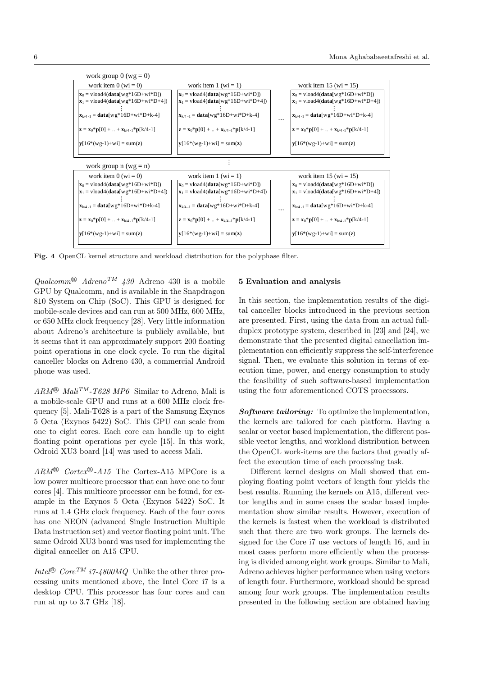

Fig. 4 OpenCL kernel structure and workload distribution for the polyphase filter.

Qualcomm<sup>®</sup>  $Adreno^{TM}$  430 Adreno 430 is a mobile GPU by Qualcomm, and is available in the Snapdragon 810 System on Chip (SoC). This GPU is designed for mobile-scale devices and can run at 500 MHz, 600 MHz, or 650 MHz clock frequency [28]. Very little information about Adreno's architecture is publicly available, but it seems that it can approximately support 200 floating point operations in one clock cycle. To run the digital canceller blocks on Adreno 430, a commercial Android phone was used.

 $ARM^{\circledR}$  Mali<sup>TM</sup>-T628 MP6 Similar to Adreno, Mali is a mobile-scale GPU and runs at a 600 MHz clock frequency [5]. Mali-T628 is a part of the Samsung Exynos 5 Octa (Exynos 5422) SoC. This GPU can scale from one to eight cores. Each core can handle up to eight floating point operations per cycle [15]. In this work, Odroid XU3 board [14] was used to access Mali.

 $ARM^{\circledR}$  Cortex<sup>®</sup>-A15 The Cortex-A15 MPCore is a low power multicore processor that can have one to four cores [4]. This multicore processor can be found, for example in the Exynos 5 Octa (Exynos 5422) SoC. It runs at 1.4 GHz clock frequency. Each of the four cores has one NEON (advanced Single Instruction Multiple Data instruction set) and vector floating point unit. The same Odroid XU3 board was used for implementing the digital canceller on A15 CPU.

Intel<sup>®</sup> Core<sup>TM</sup> i7-4800MO Unlike the other three processing units mentioned above, the Intel Core i7 is a desktop CPU. This processor has four cores and can run at up to 3.7 GHz [18].

### 5 Evaluation and analysis

In this section, the implementation results of the digital canceller blocks introduced in the previous section are presented. First, using the data from an actual fullduplex prototype system, described in [23] and [24], we demonstrate that the presented digital cancellation implementation can efficiently suppress the self-interference signal. Then, we evaluate this solution in terms of execution time, power, and energy consumption to study the feasibility of such software-based implementation using the four aforementioned COTS processors.

Software tailoring: To optimize the implementation, the kernels are tailored for each platform. Having a scalar or vector based implementation, the different possible vector lengths, and workload distribution between the OpenCL work-items are the factors that greatly affect the execution time of each processing task.

Different kernel designs on Mali showed that employing floating point vectors of length four yields the best results. Running the kernels on A15, different vector lengths and in some cases the scalar based implementation show similar results. However, execution of the kernels is fastest when the workload is distributed such that there are two work groups. The kernels designed for the Core i7 use vectors of length 16, and in most cases perform more efficiently when the processing is divided among eight work groups. Similar to Mali, Adreno achieves higher performance when using vectors of length four. Furthermore, workload should be spread among four work groups. The implementation results presented in the following section are obtained having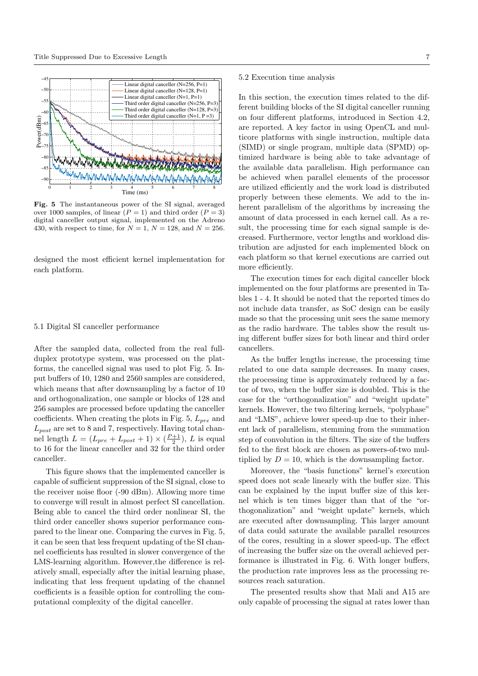

Fig. 5 The instantaneous power of the SI signal, averaged over 1000 samples, of linear  $(P = 1)$  and third order  $(P = 3)$ digital canceller output signal, implemented on the Adreno 430, with respect to time, for  $N = 1$ ,  $N = 128$ , and  $N = 256$ .

designed the most efficient kernel implementation for each platform.

#### 5.1 Digital SI canceller performance

After the sampled data, collected from the real fullduplex prototype system, was processed on the platforms, the cancelled signal was used to plot Fig. 5. Input buffers of 10, 1280 and 2560 samples are considered, which means that after downsampling by a factor of 10 and orthogonalization, one sample or blocks of 128 and 256 samples are processed before updating the canceller coefficients. When creating the plots in Fig. 5,  $L_{pre}$  and  $L_{post}$  are set to 8 and 7, respectively. Having total channel length  $L = (L_{pre} + L_{post} + 1) \times (\frac{P+1}{2}), L$  is equal to 16 for the linear canceller and 32 for the third order canceller.

This figure shows that the implemented canceller is capable of sufficient suppression of the SI signal, close to the receiver noise floor (-90 dBm). Allowing more time to converge will result in almost perfect SI cancellation. Being able to cancel the third order nonlinear SI, the third order canceller shows superior performance compared to the linear one. Comparing the curves in Fig. 5, it can be seen that less frequent updating of the SI channel coefficients has resulted in slower convergence of the LMS-learning algorithm. However,the difference is relatively small, especially after the initial learning phase, indicating that less frequent updating of the channel coefficients is a feasible option for controlling the computational complexity of the digital canceller.

#### 5.2 Execution time analysis

In this section, the execution times related to the different building blocks of the SI digital canceller running on four different platforms, introduced in Section 4.2, are reported. A key factor in using OpenCL and multicore platforms with single instruction, multiple data (SIMD) or single program, multiple data (SPMD) optimized hardware is being able to take advantage of the available data parallelism. High performance can be achieved when parallel elements of the processor are utilized efficiently and the work load is distributed properly between these elements. We add to the inherent parallelism of the algorithms by increasing the amount of data processed in each kernel call. As a result, the processing time for each signal sample is decreased. Furthermore, vector lengths and workload distribution are adjusted for each implemented block on each platform so that kernel executions are carried out more efficiently.

The execution times for each digital canceller block implemented on the four platforms are presented in Tables 1 - 4. It should be noted that the reported times do not include data transfer, as SoC design can be easily made so that the processing unit sees the same memory as the radio hardware. The tables show the result using different buffer sizes for both linear and third order cancellers.

As the buffer lengths increase, the processing time related to one data sample decreases. In many cases, the processing time is approximately reduced by a factor of two, when the buffer size is doubled. This is the case for the "orthogonalization" and "weight update" kernels. However, the two filtering kernels, "polyphase" and "LMS", achieve lower speed-up due to their inherent lack of parallelism, stemming from the summation step of convolution in the filters. The size of the buffers fed to the first block are chosen as powers-of-two multiplied by  $D = 10$ , which is the downsampling factor.

Moreover, the "basis functions" kernel's execution speed does not scale linearly with the buffer size. This can be explained by the input buffer size of this kernel which is ten times bigger than that of the "orthogonalization" and "weight update" kernels, which are executed after downsampling. This larger amount of data could saturate the available parallel resources of the cores, resulting in a slower speed-up. The effect of increasing the buffer size on the overall achieved performance is illustrated in Fig. 6. With longer buffers, the production rate improves less as the processing resources reach saturation.

The presented results show that Mali and A15 are only capable of processing the signal at rates lower than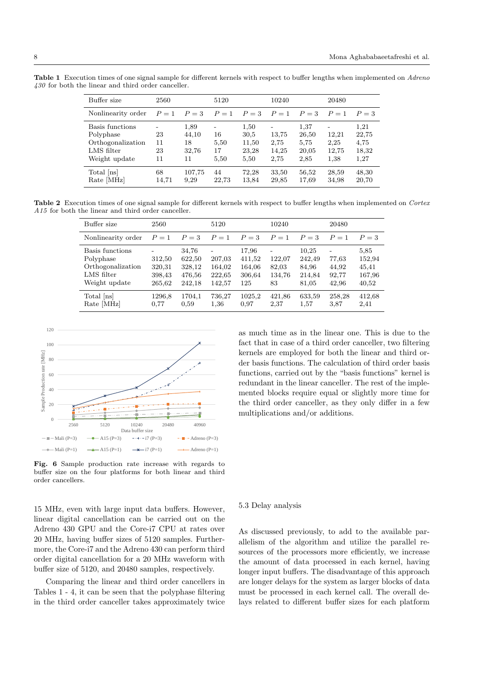Buffer size  $2560$   $5120$   $10240$   $20480$ Nonlinearity order  $P = 1$   $P = 3$   $P = 1$   $P = 3$   $P = 1$   $P = 3$   $P = 1$   $P = 3$ Basis functions - 1,89 - 1,50 - 1,37 - 1,21 Polyphase 23 44,10 16 30,5 13,75 26,50 12,21 22,75 Orthogonalization 11 18 5,50 11,50 2,75 5,75 2,25 4,75 LMS filter 23 32,76 17 23,28 14,25 20,05 12,75 18,32 Weight update 11 11 5,50 5,50 2,75 2,85 1,38 1,27 Total [ns] 68 107,75 44 72,28 33,50 56,52 28,59 48,30 Rate [MHz] 14,71 9,29 22,73 13,84 29,85 17,69 34,98 20,70

Table 1 Execution times of one signal sample for different kernels with respect to buffer lengths when implemented on Adreno  $430$  for both the linear and third order canceller

Table 2 Execution times of one signal sample for different kernels with respect to buffer lengths when implemented on Cortex A<sub>15</sub> for both the linear and third order canceller.

| Buffer size        | 2560   |        | 5120   |        | 10240                    |         | 20480  |         |
|--------------------|--------|--------|--------|--------|--------------------------|---------|--------|---------|
| Nonlinearity order | $P=1$  | $P=3$  | $P=1$  | $P=3$  | $P=1$                    | $P = 3$ | $P=1$  | $P = 3$ |
| Basis functions    | -      | 34,76  | ٠      | 17,96  | $\overline{\phantom{a}}$ | 10.25   | ۰      | 5,85    |
| Polyphase          | 312,50 | 622,50 | 207,03 | 411,52 | 122,07                   | 242,49  | 77,63  | 152,94  |
| Orthogonalization  | 320,31 | 328,12 | 164,02 | 164,06 | 82,03                    | 84,96   | 44,92  | 45,41   |
| LMS filter         | 398,43 | 476,56 | 222,65 | 306,64 | 134,76                   | 214,84  | 92,77  | 167,96  |
| Weight update      | 265,62 | 242,18 | 142,57 | 125    | 83                       | 81,05   | 42,96  | 40,52   |
| Total [ns]         | 1296.8 | 1704,1 | 736,27 | 1025,2 | 421,86                   | 633,59  | 258,28 | 412,68  |
| Rate [MHz]         | 0.77   | 0.59   | 1,36   | 0.97   | 2,37                     | 1,57    | 3,87   | 2,41    |



Fig. 6 Sample production rate increase with regards to buffer size on the four platforms for both linear and third order cancellers.

15 MHz, even with large input data buffers. However, linear digital cancellation can be carried out on the Adreno 430 GPU and the Core-i7 CPU at rates over 20 MHz, having buffer sizes of 5120 samples. Furthermore, the Core-i7 and the Adreno 430 can perform third order digital cancellation for a 20 MHz waveform with buffer size of 5120, and 20480 samples, respectively.

Comparing the linear and third order cancellers in Tables 1 - 4, it can be seen that the polyphase filtering in the third order canceller takes approximately twice

as much time as in the linear one. This is due to the fact that in case of a third order canceller, two filtering kernels are employed for both the linear and third order basis functions. The calculation of third order basis functions, carried out by the "basis functions" kernel is redundant in the linear canceller. The rest of the implemented blocks require equal or slightly more time for the third order canceller, as they only differ in a few multiplications and/or additions.

#### 5.3 Delay analysis

As discussed previously, to add to the available parallelism of the algorithm and utilize the parallel resources of the processors more efficiently, we increase the amount of data processed in each kernel, having longer input buffers. The disadvantage of this approach are longer delays for the system as larger blocks of data must be processed in each kernel call. The overall delays related to different buffer sizes for each platform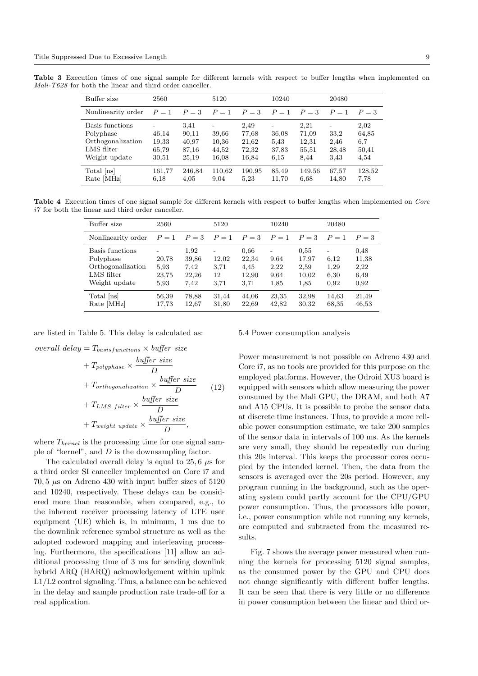Table 3 Execution times of one signal sample for different kernels with respect to buffer lengths when implemented on Mali-T628 for both the linear and third order canceller.

| Buffer size                                                                      | 2560                             |                                          | 5120                             |                                          | 10240                               |                                         | 20480                         |                                       |
|----------------------------------------------------------------------------------|----------------------------------|------------------------------------------|----------------------------------|------------------------------------------|-------------------------------------|-----------------------------------------|-------------------------------|---------------------------------------|
| Nonlinearity order                                                               | $P=1$                            | $P=3$                                    | $P=1$                            | $P=3$                                    | $P=1$                               | $P = 3$                                 | $P=1$                         | $P=3$                                 |
| Basis functions<br>Polyphase<br>Orthogonalization<br>LMS filter<br>Weight update | 46,14<br>19,33<br>65,79<br>30,51 | 3.41<br>90,11<br>40,97<br>87,16<br>25,19 | 39,66<br>10,36<br>44,52<br>16,08 | 2,49<br>77,68<br>21,62<br>72,32<br>16,84 | ۰<br>36,08<br>5.43<br>37,83<br>6.15 | 2,21<br>71,09<br>12,31<br>55,51<br>8.44 | 33,2<br>2,46<br>28,48<br>3.43 | 2,02<br>64,85<br>6,7<br>50,41<br>4,54 |
| Total [ns]<br>Rate [MHz]                                                         | 161,77<br>6,18                   | 246,84<br>4,05                           | 110,62<br>9,04                   | 190,95<br>5,23                           | 85,49<br>11,70                      | 149,56<br>6.68                          | 67,57<br>14,80                | 128,52<br>7.78                        |

Table 4 Execution times of one signal sample for different kernels with respect to buffer lengths when implemented on Core  $i7$  for both the linear and third order canceller.

| Buffer size                                                                      | 2560                           |                                        | 5120                             |                                        | 10240                             |                                        | 20480                        |                                       |
|----------------------------------------------------------------------------------|--------------------------------|----------------------------------------|----------------------------------|----------------------------------------|-----------------------------------|----------------------------------------|------------------------------|---------------------------------------|
| Nonlinearity order                                                               | $P=1$                          | $P=3$                                  | $P=1$                            | $P=3$                                  | $P=1$                             | $P = 3$                                | $P=1$                        | $P = 3$                               |
| Basis functions<br>Polyphase<br>Orthogonalization<br>LMS filter<br>Weight update | 20,78<br>5.93<br>23,75<br>5.93 | 1,92<br>39,86<br>7,42<br>22,26<br>7,42 | ۰<br>12,02<br>3.71<br>12<br>3.71 | 0.66<br>22,34<br>4.45<br>12,90<br>3,71 | ۰<br>9.64<br>2,22<br>9.64<br>1,85 | 0.55<br>17,97<br>2,59<br>10,02<br>1,85 | 6,12<br>1,29<br>6,30<br>0.92 | 0.48<br>11,38<br>2,22<br>6,49<br>0.92 |
| Total [ns]<br>Rate [MHz]                                                         | 56,39<br>17.73                 | 78,88<br>12,67                         | 31,44<br>31,80                   | 44,06<br>22,69                         | 23,35<br>42,82                    | 32,98<br>30,32                         | 14,63<br>68,35               | 21,49<br>46,53                        |

are listed in Table 5. This delay is calculated as:

overall delay  $=T_{basis functions} \times buffer size$ 

+ 
$$
T_{polyphase} \times \frac{buffer\ size}{D}
$$
  
+  $T_{orthogonalization} \times \frac{buffer\ size}{D}$  (12)  
+  $T_{LMS\ filter} \times \frac{buffer\ size}{D}$   
+  $T_{weight\ update} \times \frac{buffer\ size}{D}$ ,

where  $T_{\text{kernel}}$  is the processing time for one signal sample of "kernel", and D is the downsampling factor.

The calculated overall delay is equal to 25, 6  $\mu$ s for a third order SI canceller implemented on Core i7 and 70, 5  $\mu$ s on Adreno 430 with input buffer sizes of 5120 and 10240, respectively. These delays can be considered more than reasonable, when compared, e.g., to the inherent receiver processing latency of LTE user equipment (UE) which is, in minimum, 1 ms due to the downlink reference symbol structure as well as the adopted codeword mapping and interleaving processing. Furthermore, the specifications [11] allow an additional processing time of 3 ms for sending downlink hybrid ARQ (HARQ) acknowledgement within uplink L1/L2 control signaling. Thus, a balance can be achieved in the delay and sample production rate trade-off for a real application.

5.4 Power consumption analysis

Power measurement is not possible on Adreno 430 and Core i7, as no tools are provided for this purpose on the employed platforms. However, the Odroid XU3 board is equipped with sensors which allow measuring the power consumed by the Mali GPU, the DRAM, and both A7 and A15 CPUs. It is possible to probe the sensor data at discrete time instances. Thus, to provide a more reliable power consumption estimate, we take 200 samples of the sensor data in intervals of 100 ms. As the kernels are very small, they should be repeatedly run during this 20s interval. This keeps the processor cores occupied by the intended kernel. Then, the data from the sensors is averaged over the 20s period. However, any program running in the background, such as the operating system could partly account for the CPU/GPU power consumption. Thus, the processors idle power, i.e., power consumption while not running any kernels, are computed and subtracted from the measured results.

Fig. 7 shows the average power measured when running the kernels for processing 5120 signal samples, as the consumed power by the GPU and CPU does not change significantly with different buffer lengths. It can be seen that there is very little or no difference in power consumption between the linear and third or-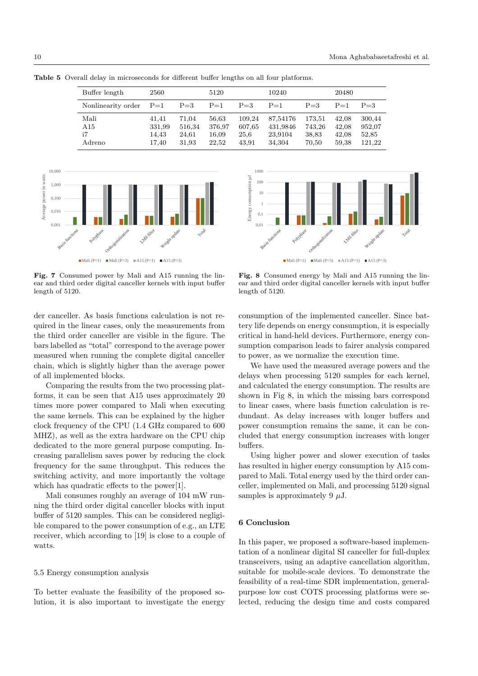| Buffer length      | 2560   |        | 5120   |         | 10240    |         | 20480 |         |
|--------------------|--------|--------|--------|---------|----------|---------|-------|---------|
| Nonlinearity order | $P=1$  | $P=3$  | $P=1$  | $P = 3$ | $P=1$    | $P = 3$ | $P=1$ | $P = 3$ |
| Mali               | 41.41  | 71.04  | 56,63  | 109.24  | 87,54176 | 173,51  | 42.08 | 300,44  |
| A15                | 331,99 | 516,34 | 376,97 | 607.65  | 431,9846 | 743.26  | 42.08 | 952,07  |
| i7                 | 14.43  | 24.61  | 16,09  | 25,6    | 23,9104  | 38,83   | 42.08 | 52,85   |
| Adreno             | 17.40  | 31.93  | 22.52  | 43.91   | 34,304   | 70,50   | 59.38 | 121.22  |

Table 5 Overall delay in microseconds for different buffer lengths on all four platforms.



Fig. 7 Consumed power by Mali and A15 running the linear and third order digital canceller kernels with input buffer length of 5120.

der canceller. As basis functions calculation is not required in the linear cases, only the measurements from the third order canceller are visible in the figure. The bars labelled as "total" correspond to the average power measured when running the complete digital canceller chain, which is slightly higher than the average power of all implemented blocks.

Comparing the results from the two processing platforms, it can be seen that A15 uses approximately 20 times more power compared to Mali when executing the same kernels. This can be explained by the higher clock frequency of the CPU (1.4 GHz compared to 600 MHZ), as well as the extra hardware on the CPU chip dedicated to the more general purpose computing. Increasing parallelism saves power by reducing the clock frequency for the same throughput. This reduces the switching activity, and more importantly the voltage which has quadratic effects to the power[1].

Mali consumes roughly an average of 104 mW running the third order digital canceller blocks with input buffer of 5120 samples. This can be considered negligible compared to the power consumption of e.g., an LTE receiver, which according to [19] is close to a couple of watts.

#### 5.5 Energy consumption analysis

To better evaluate the feasibility of the proposed solution, it is also important to investigate the energy



Fig. 8 Consumed energy by Mali and A15 running the linear and third order digital canceller kernels with input buffer length of 5120.

consumption of the implemented canceller. Since battery life depends on energy consumption, it is especially critical in hand-held devices. Furthermore, energy consumption comparison leads to fairer analysis compared to power, as we normalize the execution time.

We have used the measured average powers and the delays when processing 5120 samples for each kernel, and calculated the energy consumption. The results are shown in Fig 8, in which the missing bars correspond to linear cases, where basis function calculation is redundant. As delay increases with longer buffers and power consumption remains the same, it can be concluded that energy consumption increases with longer buffers.

Using higher power and slower execution of tasks has resulted in higher energy consumption by A15 compared to Mali. Total energy used by the third order canceller, implemented on Mali, and processing 5120 signal samples is approximately 9  $\mu$ J.

## 6 Conclusion

In this paper, we proposed a software-based implementation of a nonlinear digital SI canceller for full-duplex transceivers, using an adaptive cancellation algorithm, suitable for mobile-scale devices. To demonstrate the feasibility of a real-time SDR implementation, generalpurpose low cost COTS processing platforms were selected, reducing the design time and costs compared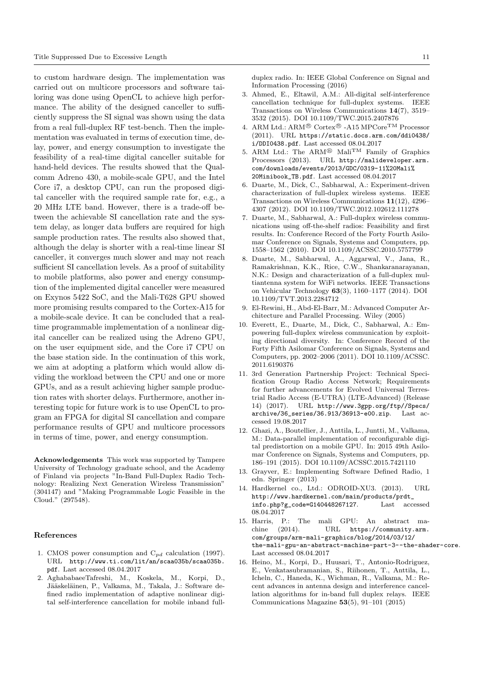to custom hardware design. The implementation was carried out on multicore processors and software tailoring was done using OpenCL to achieve high performance. The ability of the designed canceller to sufficiently suppress the SI signal was shown using the data from a real full-duplex RF test-bench. Then the implementation was evaluated in terms of execution time, delay, power, and energy consumption to investigate the feasibility of a real-time digital canceller suitable for hand-held devices. The results showed that the Qualcomm Adreno 430, a mobile-scale GPU, and the Intel Core i7, a desktop CPU, can run the proposed digital canceller with the required sample rate for, e.g., a 20 MHz LTE band. However, there is a trade-off between the achievable SI cancellation rate and the system delay, as longer data buffers are required for high sample production rates. The results also showed that, although the delay is shorter with a real-time linear SI canceller, it converges much slower and may not reach sufficient SI cancellation levels. As a proof of suitability to mobile platforms, also power and energy consumption of the implemented digital canceller were measured on Exynos 5422 SoC, and the Mali-T628 GPU showed more promising results compared to the Cortex-A15 for a mobile-scale device. It can be concluded that a realtime programmable implementation of a nonlinear digital canceller can be realized using the Adreno GPU, on the user equipment side, and the Core i7 CPU on the base station side. In the continuation of this work, we aim at adopting a platform which would allow dividing the workload between the CPU and one or more GPUs, and as a result achieving higher sample production rates with shorter delays. Furthermore, another interesting topic for future work is to use OpenCL to program an FPGA for digital SI cancellation and compare performance results of GPU and multicore processors in terms of time, power, and energy consumption.

Acknowledgements This work was supported by Tampere University of Technology graduate school, and the Academy of Finland via projects "In-Band Full-Duplex Radio Technology: Realizing Next Generation Wireless Transmission" (304147) and "Making Programmable Logic Feasible in the Cloud." (297548).

#### References

- 1. CMOS power consumption and  $C_{pd}$  calculation (1997). URL http://www.ti.com/lit/an/scaa035b/scaa035b. pdf. Last accessed 08.04.2017
- 2. AghababaeeTafreshi, M., Koskela, M., Korpi, D., Jääskeläinen, P., Valkama, M., Takala, J.: Software defined radio implementation of adaptive nonlinear digital self-interference cancellation for mobile inband full-

duplex radio. In: IEEE Global Conference on Signal and Information Processing (2016)

- 3. Ahmed, E., Eltawil, A.M.: All-digital self-interference cancellation technique for full-duplex systems. IEEE Transactions on Wireless Communications 14(7), 3519– 3532 (2015). DOI 10.1109/TWC.2015.2407876
- 4. ARM Ltd.:  $ARM^{\circledR}$  Cortex<sup>®</sup> -A15 MPCore<sup>TM</sup> Processor (2011). URL https://static.docs.arm.com/ddi0438/ i/DDI0438.pdf. Last accessed 08.04.2017
- 5. ARM Ltd.: The ARM<sup>®</sup> Mali<sup>TM</sup> Family of Graphics Processors (2013). URL http://malideveloper.arm. com/downloads/events/2013/GDC/0319-11%20Mali% 20Minibook\_TB.pdf. Last accessed 08.04.2017
- 6. Duarte, M., Dick, C., Sabharwal, A.: Experiment-driven characterization of full-duplex wireless systems. IEEE Transactions on Wireless Communications 11(12), 4296– 4307 (2012). DOI 10.1109/TWC.2012.102612.111278
- 7. Duarte, M., Sabharwal, A.: Full-duplex wireless communications using off-the-shelf radios: Feasibility and first results. In: Conference Record of the Forty Fourth Asilomar Conference on Signals, Systems and Computers, pp. 1558–1562 (2010). DOI 10.1109/ACSSC.2010.5757799
- 8. Duarte, M., Sabharwal, A., Aggarwal, V., Jana, R., Ramakrishnan, K.K., Rice, C.W., Shankaranarayanan, N.K.: Design and characterization of a full-duplex multiantenna system for WiFi networks. IEEE Transactions on Vehicular Technology 63(3), 1160–1177 (2014). DOI 10.1109/TVT.2013.2284712
- 9. El-Rewini, H., Abd-El-Barr, M.: Advanced Computer Architecture and Parallel Processing. Wiley (2005)
- 10. Everett, E., Duarte, M., Dick, C., Sabharwal, A.: Empowering full-duplex wireless communication by exploiting directional diversity. In: Conference Record of the Forty Fifth Asilomar Conference on Signals, Systems and Computers, pp. 2002–2006 (2011). DOI 10.1109/ACSSC. 2011.6190376
- 11. 3rd Generation Partnership Project: Technical Specification Group Radio Access Network; Requirements for further advancements for Evolved Universal Terrestrial Radio Access (E-UTRA) (LTE-Advanced) (Release 14) (2017). URL http://www.3gpp.org/ftp//Specs/ archive/36\_series/36.913/36913-e00.zip. Last accessed 19.08.2017
- 12. Ghazi, A., Boutellier, J., Anttila, L., Juntti, M., Valkama, M.: Data-parallel implementation of reconfigurable digital predistortion on a mobile GPU. In: 2015 49th Asilomar Conference on Signals, Systems and Computers, pp. 186–191 (2015). DOI 10.1109/ACSSC.2015.7421110
- 13. Grayver, E.: Implementing Software Defined Radio, 1 edn. Springer (2013)
- 14. Hardkernel co., Ltd.: ODROID-XU3. (2013). URL http://www.hardkernel.com/main/products/prdt\_ info.php?g\_code=G140448267127. Last accessed 08.04.2017
- 15. Harris, P.: The mali GPU: An abstract machine (2014). URL https://community.arm. com/groups/arm-mali-graphics/blog/2014/03/12/ the-mali-gpu-an-abstract-machine-part-3--the-shader-core. Last accessed 08.04.2017
- 16. Heino, M., Korpi, D., Huusari, T., Antonio-Rodriguez, E., Venkatasubramanian, S., Riihonen, T., Anttila, L., Icheln, C., Haneda, K., Wichman, R., Valkama, M.: Recent advances in antenna design and interference cancellation algorithms for in-band full duplex relays. IEEE Communications Magazine 53(5), 91–101 (2015)